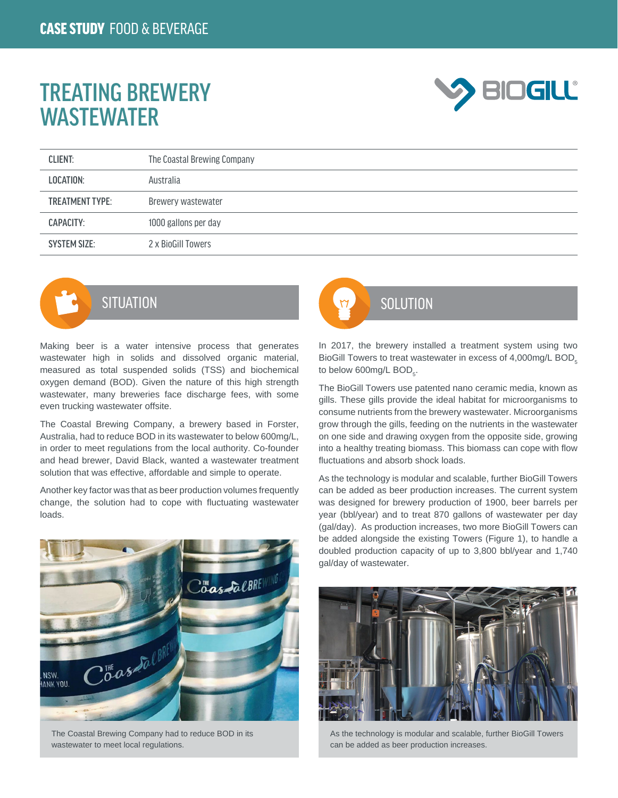## TREATING BREWERY **WASTEWATER**



| <b>CLIENT:</b>         | The Coastal Brewing Company |
|------------------------|-----------------------------|
| LOCATION:              | Australia                   |
| <b>TREATMENT TYPE:</b> | Brewery wastewater          |
| CAPACITY:              | 1000 gallons per day        |
| <b>SYSTEM SIZE:</b>    | 2 x BioGill Towers          |



Making beer is a water intensive process that generates wastewater high in solids and dissolved organic material, measured as total suspended solids (TSS) and biochemical oxygen demand (BOD). Given the nature of this high strength wastewater, many breweries face discharge fees, with some even trucking wastewater offsite.

The Coastal Brewing Company, a brewery based in Forster, Australia, had to reduce BOD in its wastewater to below 600mg/L, in order to meet regulations from the local authority. Co-founder and head brewer, David Black, wanted a wastewater treatment solution that was effective, affordable and simple to operate.

Another key factor was that as beer production volumes frequently change, the solution had to cope with fluctuating wastewater loads.



The Coastal Brewing Company had to reduce BOD in its wastewater to meet local regulations.



In 2017, the brewery installed a treatment system using two BioGill Towers to treat wastewater in excess of 4,000mg/L BOD $<sub>5</sub>$ </sub> to below 600mg/L BOD<sub>5</sub>.

The BioGill Towers use patented nano ceramic media, known as gills. These gills provide the ideal habitat for microorganisms to consume nutrients from the brewery wastewater. Microorganisms grow through the gills, feeding on the nutrients in the wastewater on one side and drawing oxygen from the opposite side, growing into a healthy treating biomass. This biomass can cope with flow fluctuations and absorb shock loads.

As the technology is modular and scalable, further BioGill Towers can be added as beer production increases. The current system was designed for brewery production of 1900, beer barrels per year (bbl/year) and to treat 870 gallons of wastewater per day (gal/day). As production increases, two more BioGill Towers can be added alongside the existing Towers (Figure 1), to handle a doubled production capacity of up to 3,800 bbl/year and 1,740 gal/day of wastewater.



As the technology is modular and scalable, further BioGill Towers can be added as beer production increases.